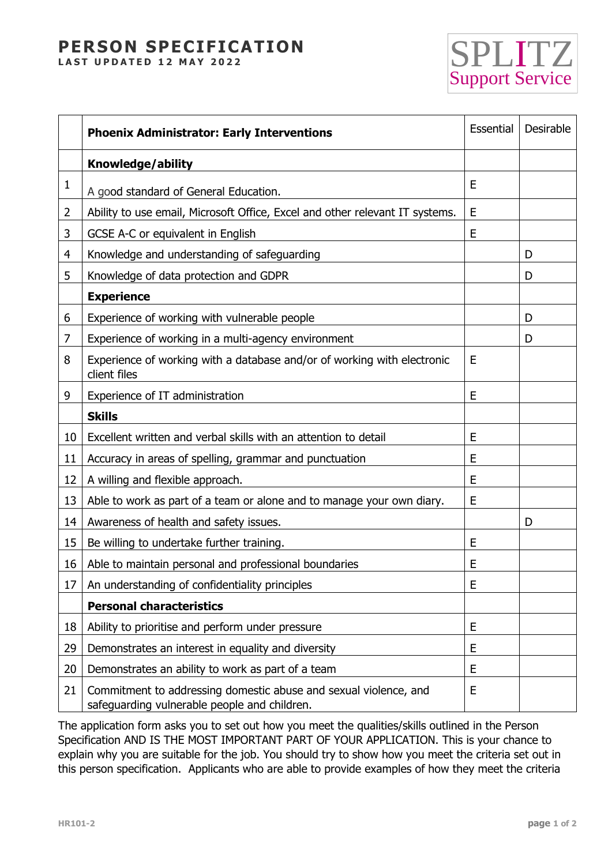## **PERSON SPECIFICATION**

**LAST UPDATED 12 MAY 2022** 



|                | <b>Phoenix Administrator: Early Interventions</b>                                                                | Essential | Desirable |
|----------------|------------------------------------------------------------------------------------------------------------------|-----------|-----------|
|                | Knowledge/ability                                                                                                |           |           |
| $\mathbf{1}$   | A good standard of General Education.                                                                            | E         |           |
| $\overline{2}$ | Ability to use email, Microsoft Office, Excel and other relevant IT systems.                                     | E         |           |
| 3              | GCSE A-C or equivalent in English                                                                                | E         |           |
| $\overline{4}$ | Knowledge and understanding of safeguarding                                                                      |           | D         |
| 5              | Knowledge of data protection and GDPR                                                                            |           | D         |
|                | <b>Experience</b>                                                                                                |           |           |
| 6              | Experience of working with vulnerable people                                                                     |           | D         |
| 7              | Experience of working in a multi-agency environment                                                              |           | D         |
| 8              | Experience of working with a database and/or of working with electronic<br>client files                          | E         |           |
| 9              | Experience of IT administration                                                                                  | E         |           |
|                | <b>Skills</b>                                                                                                    |           |           |
| 10             | Excellent written and verbal skills with an attention to detail                                                  | E         |           |
| 11             | Accuracy in areas of spelling, grammar and punctuation                                                           | E         |           |
| 12             | A willing and flexible approach.                                                                                 | E         |           |
| 13             | Able to work as part of a team or alone and to manage your own diary.                                            | E         |           |
| 14             | Awareness of health and safety issues.                                                                           |           | D         |
| 15             | Be willing to undertake further training.                                                                        | E         |           |
| 16             | Able to maintain personal and professional boundaries                                                            | E         |           |
| 17             | An understanding of confidentiality principles                                                                   | E         |           |
|                | <b>Personal characteristics</b>                                                                                  |           |           |
| 18             | Ability to prioritise and perform under pressure                                                                 | E         |           |
| 29             | Demonstrates an interest in equality and diversity                                                               | E         |           |
| 20             | Demonstrates an ability to work as part of a team                                                                | E         |           |
| 21             | Commitment to addressing domestic abuse and sexual violence, and<br>safeguarding vulnerable people and children. | E         |           |

The application form asks you to set out how you meet the qualities/skills outlined in the Person Specification AND IS THE MOST IMPORTANT PART OF YOUR APPLICATION. This is your chance to explain why you are suitable for the job. You should try to show how you meet the criteria set out in this person specification. Applicants who are able to provide examples of how they meet the criteria